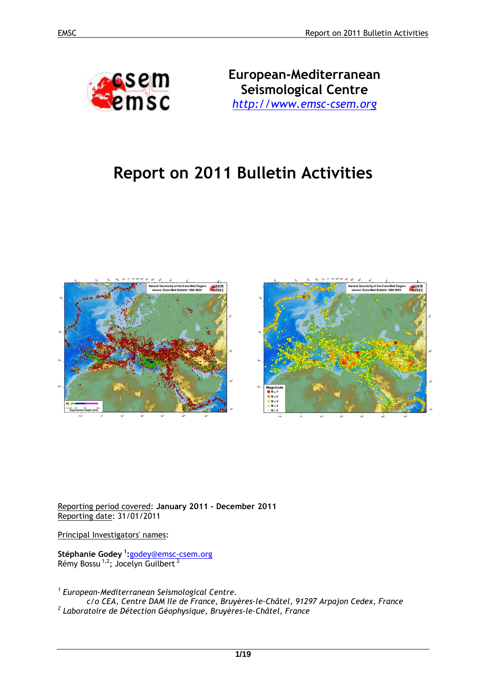

**European-Mediterranean Seismological Centre** *http://www.emsc-csem.org*

# **Report on 2011 Bulletin Activities**



Reporting period covered: **January 2011 – December 2011**  Reporting date: 31/01/2011

Principal Investigators' names:

**Stéphanie Godey<sup>1</sup>:**godey@emsc-csem.org Rémy Bossu<sup>1,2</sup>; Jocelyn Guilbert<sup>2</sup>

*1 European-Mediterranean Seismological Centre.* 

*c/o CEA, Centre DAM Ile de France, Bruyères-le-Châtel, 91297 Arpajon Cedex, France 2 Laboratoire de Détection Géophysique, Bruyères-le-Châtel, France*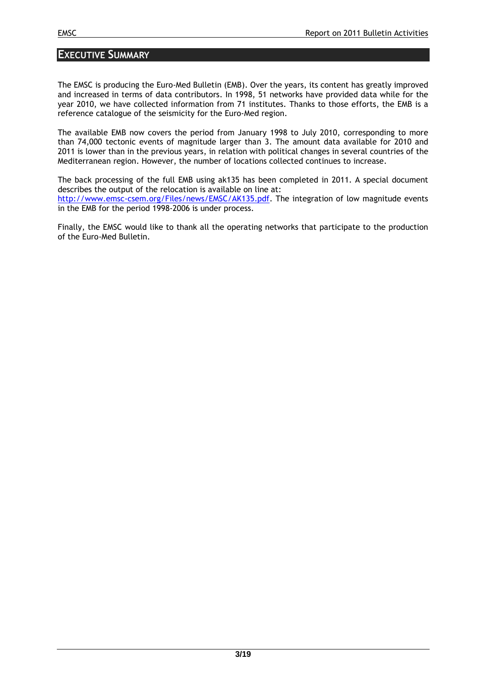## **EXECUTIVE SUMMARY**

The EMSC is producing the Euro-Med Bulletin (EMB). Over the years, its content has greatly improved and increased in terms of data contributors. In 1998, 51 networks have provided data while for the year 2010, we have collected information from 71 institutes. Thanks to those efforts, the EMB is a reference catalogue of the seismicity for the Euro-Med region.

The available EMB now covers the period from January 1998 to July 2010, corresponding to more than 74,000 tectonic events of magnitude larger than 3. The amount data available for 2010 and 2011 is lower than in the previous years, in relation with political changes in several countries of the Mediterranean region. However, the number of locations collected continues to increase.

The back processing of the full EMB using ak135 has been completed in 2011. A special document describes the output of the relocation is available on line at: http://www.emsc-csem.org/Files/news/EMSC/AK135.pdf. The integration of low magnitude events in the EMB for the period 1998-2006 is under process.

Finally, the EMSC would like to thank all the operating networks that participate to the production of the Euro-Med Bulletin.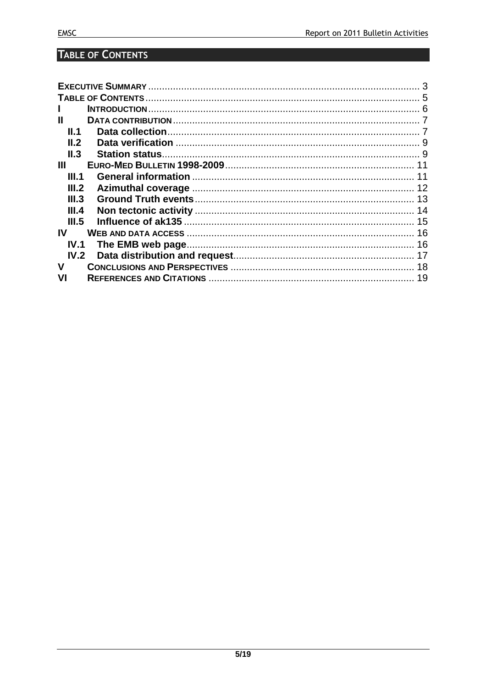# **TABLE OF CONTENTS**

| Ш     |  |
|-------|--|
| II.1  |  |
| IL2   |  |
| II.3  |  |
| Ш     |  |
| III.1 |  |
| III.2 |  |
| III.3 |  |
| III.4 |  |
| III.5 |  |
| IV    |  |
| IV.1  |  |
| IV.2  |  |
| v     |  |
|       |  |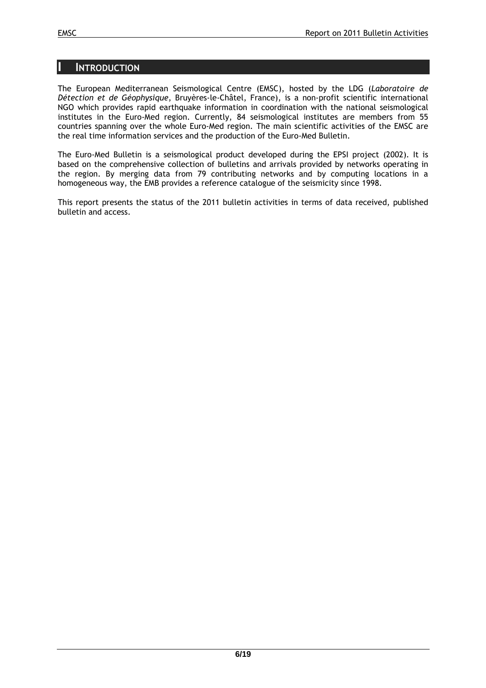#### **INTRODUCTION**

The European Mediterranean Seismological Centre (EMSC), hosted by the LDG (*Laboratoire de Détection et de Géophysique*, Bruyères-le-Châtel, France), is a non-profit scientific international NGO which provides rapid earthquake information in coordination with the national seismological institutes in the Euro-Med region. Currently, 84 seismological institutes are members from 55 countries spanning over the whole Euro-Med region. The main scientific activities of the EMSC are the real time information services and the production of the Euro-Med Bulletin.

The Euro-Med Bulletin is a seismological product developed during the EPSI project (2002). It is based on the comprehensive collection of bulletins and arrivals provided by networks operating in the region. By merging data from 79 contributing networks and by computing locations in a homogeneous way, the EMB provides a reference catalogue of the seismicity since 1998.

This report presents the status of the 2011 bulletin activities in terms of data received, published bulletin and access.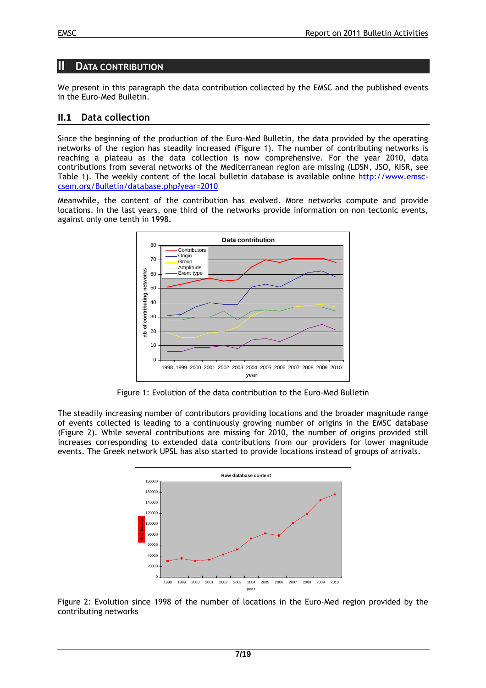# **II DATA CONTRIBUTION**

We present in this paragraph the data contribution collected by the EMSC and the published events in the Euro-Med Bulletin.

#### **II.1 Data collection**

Since the beginning of the production of the Euro-Med Bulletin, the data provided by the operating networks of the region has steadily increased (Figure 1). The number of contributing networks is reaching a plateau as the data collection is now comprehensive. For the year 2010, data contributions from several networks of the Mediterranean region are missing (LDSN, JSO, KISR, see Table 1). The weekly content of the local bulletin database is available online http://www.emsccsem.org/Bulletin/database.php?year=2010

Meanwhile, the content of the contribution has evolved. More networks compute and provide locations. In the last years, one third of the networks provide information on non tectonic events, against only one tenth in 1998.



Figure 1: Evolution of the data contribution to the Euro-Med Bulletin

The steadily increasing number of contributors providing locations and the broader magnitude range of events collected is leading to a continuously growing number of origins in the EMSC database (Figure 2). While several contributions are missing for 2010, the number of origins provided still increases corresponding to extended data contributions from our providers for lower magnitude events. The Greek network UPSL has also started to provide locations instead of groups of arrivals.



Figure 2: Evolution since 1998 of the number of locations in the Euro-Med region provided by the contributing networks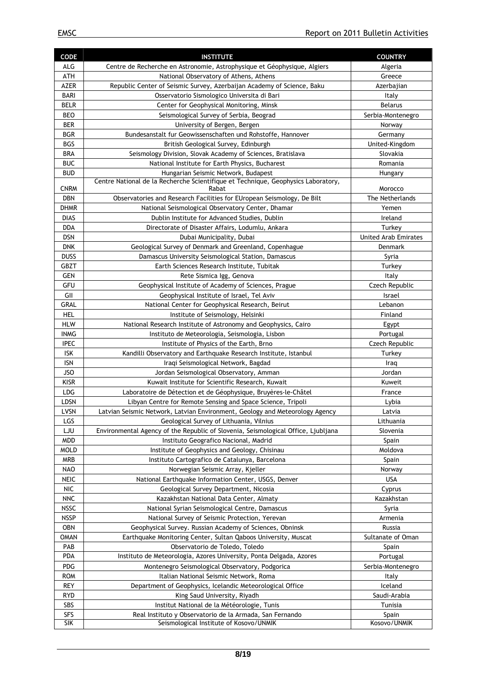| <b>CODE</b>                 | <b>INSTITUTE</b>                                                                                                        | <b>COUNTRY</b>       |  |
|-----------------------------|-------------------------------------------------------------------------------------------------------------------------|----------------------|--|
| ALG                         | Centre de Recherche en Astronomie, Astrophysique et Géophysique, Algiers                                                | Algeria              |  |
| ATH                         | National Observatory of Athens, Athens                                                                                  | Greece               |  |
| <b>AZER</b>                 | Republic Center of Seismic Survey, Azerbaijan Academy of Science, Baku                                                  | Azerbajian           |  |
| <b>BARI</b>                 | Osservatorio Sismologico Universita di Bari                                                                             | Italy                |  |
| <b>BELR</b>                 | Center for Geophysical Monitoring, Minsk                                                                                | <b>Belarus</b>       |  |
| <b>BEO</b>                  | Seismological Survey of Serbia, Beograd                                                                                 | Serbia-Montenegro    |  |
| <b>BER</b>                  | University of Bergen, Bergen                                                                                            | Norway               |  |
| <b>BGR</b>                  | Bundesanstalt fur Geowissenschaften und Rohstoffe, Hannover                                                             | Germany              |  |
| <b>BGS</b>                  | British Geological Survey, Edinburgh                                                                                    | United-Kingdom       |  |
| <b>BRA</b>                  | Seismology Division, Slovak Academy of Sciences, Bratislava                                                             | Slovakia             |  |
| <b>BUC</b>                  | National Institute for Earth Physics, Bucharest                                                                         | Romania              |  |
| <b>BUD</b>                  | Hungarian Seismic Network, Budapest                                                                                     | Hungary              |  |
| <b>CNRM</b>                 | Centre National de la Recherche Scientifique et Technique, Geophysics Laboratory,<br>Rabat                              | Morocco              |  |
| <b>DBN</b>                  | Observatories and Research Facilities for EUropean Seismology, De Bilt                                                  | The Netherlands      |  |
| <b>DHMR</b>                 | National Seismological Observatory Center, Dhamar                                                                       | Yemen                |  |
| <b>DIAS</b>                 | Dublin Institute for Advanced Studies, Dublin                                                                           | Ireland              |  |
| <b>DDA</b>                  | Directorate of Disaster Affairs, Lodumlu, Ankara                                                                        | Turkey               |  |
| <b>DSN</b>                  | Dubai Municipality, Dubai                                                                                               | United Arab Emirates |  |
| <b>DNK</b>                  | Geological Survey of Denmark and Greenland, Copenhague                                                                  | Denmark              |  |
| <b>DUSS</b>                 | Damascus University Seismological Station, Damascus                                                                     | Syria                |  |
| <b>GBZT</b>                 | Earth Sciences Research Institute, Tubitak                                                                              | Turkey               |  |
| <b>GEN</b>                  | Rete Sismica Igg, Genova                                                                                                | Italy                |  |
| GFU                         | Geophysical Institute of Academy of Sciences, Prague                                                                    | Czech Republic       |  |
| GII                         | Geophysical Institute of Israel, Tel Aviv                                                                               | Israel               |  |
| GRAL                        | National Center for Geophysical Research, Beirut                                                                        | Lebanon              |  |
| <b>HEL</b>                  | Institute of Seismology, Helsinki                                                                                       | Finland              |  |
| HLW                         | National Research Institute of Astronomy and Geophysics, Cairo                                                          | Egypt                |  |
| <b>INMG</b>                 | Instituto de Meteorologia, Seismologia, Lisbon                                                                          | Portugal             |  |
| <b>IPEC</b>                 | Institute of Physics of the Earth, Brno                                                                                 | Czech Republic       |  |
| <b>ISK</b>                  | Kandilli Observatory and Earthquake Research Institute, Istanbul                                                        | Turkey               |  |
| <b>ISN</b>                  | Iraqi Seismological Network, Bagdad                                                                                     | Iraq                 |  |
| <b>JSO</b>                  | Jordan Seismological Observatory, Amman                                                                                 | Jordan               |  |
| <b>KISR</b>                 | Kuwait Institute for Scientific Research, Kuwait                                                                        | Kuweit               |  |
| LDG                         | Laboratoire de Détection et de Géophysique, Bruyères-le-Châtel                                                          | France               |  |
| LDSN<br><b>LVSN</b>         | Libyan Centre for Remote Sensing and Space Science, Tripoli                                                             | Lybia                |  |
| LGS                         | Latvian Seismic Network, Latvian Environment, Geology and Meteorology Agency<br>Geological Survey of Lithuania, Vilnius | Latvia<br>Lithuania  |  |
| LJU                         | Environmental Agency of the Republic of Slovenia, Seismological Office, Ljubljana                                       | Slovenia             |  |
| MDD                         | Instituto Geografico Nacional, Madrid                                                                                   | Spain                |  |
| <b>MOLD</b>                 | Institute of Geophysics and Geology, Chisinau                                                                           | Moldova              |  |
| MRB                         | Instituto Cartografico de Catalunya, Barcelona                                                                          | Spain                |  |
| <b>NAO</b>                  | Norwegian Seismic Array, Kjeller                                                                                        | Norway               |  |
| NEIC                        | National Earthquake Information Center, USGS, Denver                                                                    | <b>USA</b>           |  |
| $\ensuremath{\mathsf{NIC}}$ | Geological Survey Department, Nicosia                                                                                   | Cyprus               |  |
| <b>NNC</b>                  | Kazakhstan National Data Center, Almaty                                                                                 | Kazakhstan           |  |
| <b>NSSC</b>                 | National Syrian Seismological Centre, Damascus                                                                          | Syria                |  |
| <b>NSSP</b>                 | National Survey of Seismic Protection, Yerevan                                                                          | Armenia              |  |
| <b>OBN</b>                  | Geophysical Survey. Russian Academy of Sciences, Obninsk                                                                | Russia               |  |
| <b>OMAN</b>                 | Earthquake Monitoring Center, Sultan Qaboos University, Muscat                                                          | Sultanate of Oman    |  |
| PAB                         | Observatorio de Toledo, Toledo                                                                                          | Spain                |  |
| PDA                         | Instituto de Meteorologia, Azores University, Ponta Delgada, Azores                                                     | Portugal             |  |
| PDG                         | Montenegro Seismological Observatory, Podgorica                                                                         | Serbia-Montenegro    |  |
| <b>ROM</b>                  | Italian National Seismic Network, Roma                                                                                  | Italy                |  |
| <b>REY</b>                  | Department of Geophysics, Icelandic Meteorological Office                                                               | Iceland              |  |
| <b>RYD</b>                  | King Saud University, Riyadh                                                                                            | Saudi-Arabia         |  |
| SBS                         | Institut National de la Météorologie, Tunis                                                                             | Tunisia              |  |
| <b>SFS</b>                  | Real Instituto y Observatorio de la Armada, San Fernando                                                                | Spain                |  |
| <b>SIK</b>                  | Seismological Institute of Kosovo/UNMIK                                                                                 | Kosovo/UNMIK         |  |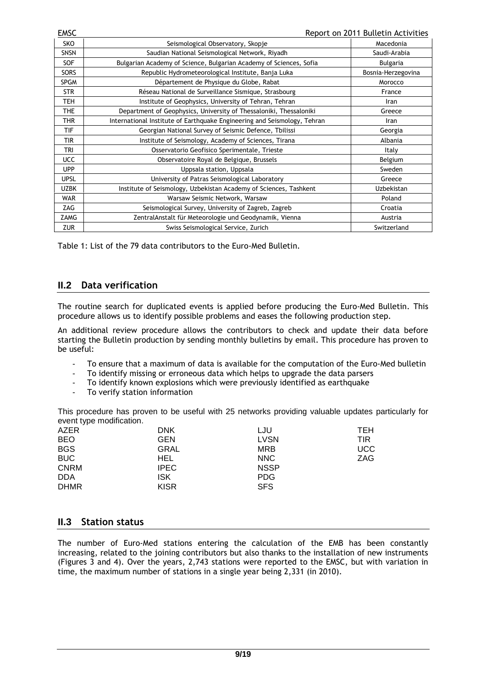| EMSC        | Report on 2011 Bulletin Activities                                       |                    |  |
|-------------|--------------------------------------------------------------------------|--------------------|--|
| SKO         | Seismological Observatory, Skopje                                        | Macedonia          |  |
| <b>SNSN</b> | Saudian National Seismological Network, Riyadh                           | Saudi-Arabia       |  |
| <b>SOF</b>  | Bulgarian Academy of Science, Bulgarian Academy of Sciences, Sofia       | <b>Bulgaria</b>    |  |
| <b>SORS</b> | Republic Hydrometeorological Institute, Banja Luka                       | Bosnia-Herzegovina |  |
| <b>SPGM</b> | Département de Physique du Globe, Rabat                                  | Morocco            |  |
| <b>STR</b>  | Réseau National de Surveillance Sismique, Strasbourg                     | France             |  |
| TEH         | Institute of Geophysics, University of Tehran, Tehran                    | Iran               |  |
| <b>THE</b>  | Department of Geophysics, University of Thessaloniki, Thessaloniki       | Greece             |  |
| <b>THR</b>  | International Institute of Earthquake Engineering and Seismology, Tehran | Iran               |  |
| <b>TIF</b>  | Georgian National Survey of Seismic Defence, Tbilissi                    | Georgia            |  |
| <b>TIR</b>  | Institute of Seismology, Academy of Sciences, Tirana                     | Albania            |  |
| TRI         | Osservatorio Geofisico Sperimentale, Trieste                             | Italy              |  |
| <b>UCC</b>  | Observatoire Royal de Belgique, Brussels                                 | Belgium            |  |
| <b>UPP</b>  | Uppsala station, Uppsala                                                 | Sweden             |  |
| <b>UPSL</b> | University of Patras Seismological Laboratory                            | Greece             |  |
| <b>UZBK</b> | Institute of Seismology, Uzbekistan Academy of Sciences, Tashkent        | <b>Uzbekistan</b>  |  |
| <b>WAR</b>  | Warsaw Seismic Network, Warsaw                                           | Poland             |  |
| ZAG         | Seismological Survey, University of Zagreb, Zagreb                       | Croatia            |  |
| ZAMG        | ZentralAnstalt für Meteorologie und Geodynamik, Vienna                   | Austria            |  |
| <b>ZUR</b>  | Swiss Seismological Service, Zurich                                      | Switzerland        |  |

Table 1: List of the 79 data contributors to the Euro-Med Bulletin.

#### **II.2 Data verification**

The routine search for duplicated events is applied before producing the Euro-Med Bulletin. This procedure allows us to identify possible problems and eases the following production step.

An additional review procedure allows the contributors to check and update their data before starting the Bulletin production by sending monthly bulletins by email. This procedure has proven to be useful:

- To ensure that a maximum of data is available for the computation of the Euro-Med bulletin
- To identify missing or erroneous data which helps to upgrade the data parsers
- To identify known explosions which were previously identified as earthquake
- To verify station information

This procedure has proven to be useful with 25 networks providing valuable updates particularly for event type modification.

| - - -       |             |             |            |
|-------------|-------------|-------------|------------|
| AZER        | <b>DNK</b>  | LJU         | TEH        |
| <b>BEO</b>  | <b>GEN</b>  | <b>LVSN</b> | TIR        |
| <b>BGS</b>  | <b>GRAL</b> | <b>MRB</b>  | <b>UCC</b> |
| <b>BUC</b>  | HEL.        | <b>NNC</b>  | ZAG        |
| <b>CNRM</b> | <b>IPEC</b> | <b>NSSP</b> |            |
| <b>DDA</b>  | <b>ISK</b>  | <b>PDG</b>  |            |
| <b>DHMR</b> | <b>KISR</b> | <b>SFS</b>  |            |
|             |             |             |            |

#### **II.3 Station status**

The number of Euro-Med stations entering the calculation of the EMB has been constantly increasing, related to the joining contributors but also thanks to the installation of new instruments (Figures 3 and 4). Over the years, 2,743 stations were reported to the EMSC, but with variation in time, the maximum number of stations in a single year being 2,331 (in 2010).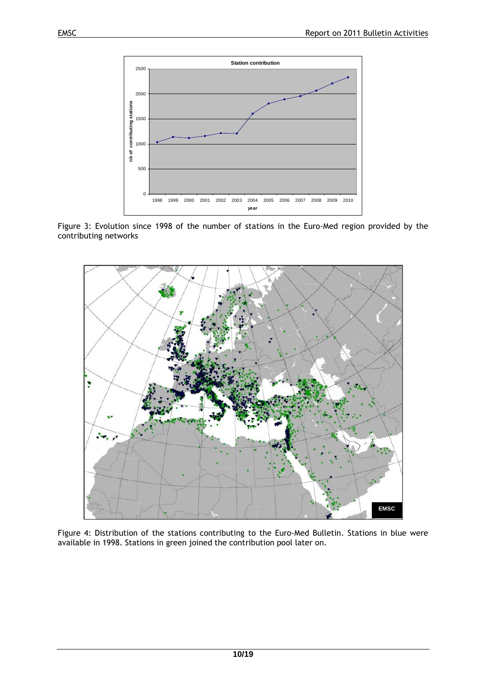

Figure 3: Evolution since 1998 of the number of stations in the Euro-Med region provided by the contributing networks



Figure 4: Distribution of the stations contributing to the Euro-Med Bulletin. Stations in blue were available in 1998. Stations in green joined the contribution pool later on.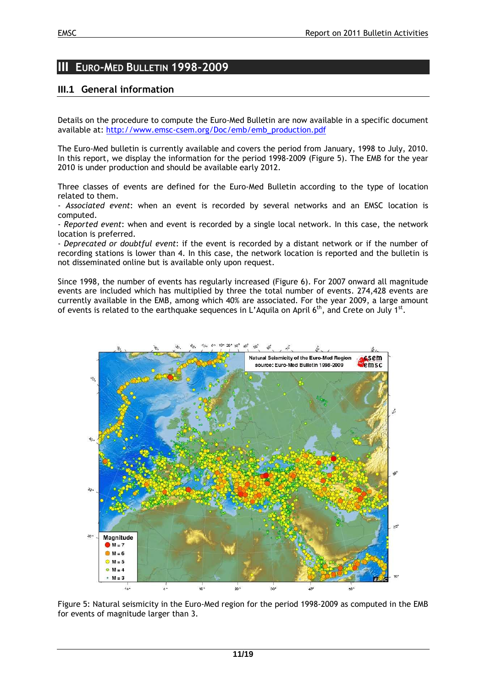# **III EURO-MED BULLETIN 1998-2009**

## **III.1 General information**

Details on the procedure to compute the Euro-Med Bulletin are now available in a specific document available at: http://www.emsc-csem.org/Doc/emb/emb\_production.pdf

The Euro-Med bulletin is currently available and covers the period from January, 1998 to July, 2010. In this report, we display the information for the period 1998-2009 (Figure 5). The EMB for the year 2010 is under production and should be available early 2012.

Three classes of events are defined for the Euro-Med Bulletin according to the type of location related to them.

- *Associated event*: when an event is recorded by several networks and an EMSC location is computed.

- *Reported event*: when and event is recorded by a single local network. In this case, the network location is preferred.

- *Deprecated or doubtful event*: if the event is recorded by a distant network or if the number of recording stations is lower than 4. In this case, the network location is reported and the bulletin is not disseminated online but is available only upon request.

Since 1998, the number of events has regularly increased (Figure 6). For 2007 onward all magnitude events are included which has multiplied by three the total number of events. 274,428 events are currently available in the EMB, among which 40% are associated. For the year 2009, a large amount of events is related to the earthquake sequences in L'Aquila on April  $6<sup>th</sup>$ , and Crete on July 1<sup>st</sup>.



Figure 5: Natural seismicity in the Euro-Med region for the period 1998-2009 as computed in the EMB for events of magnitude larger than 3.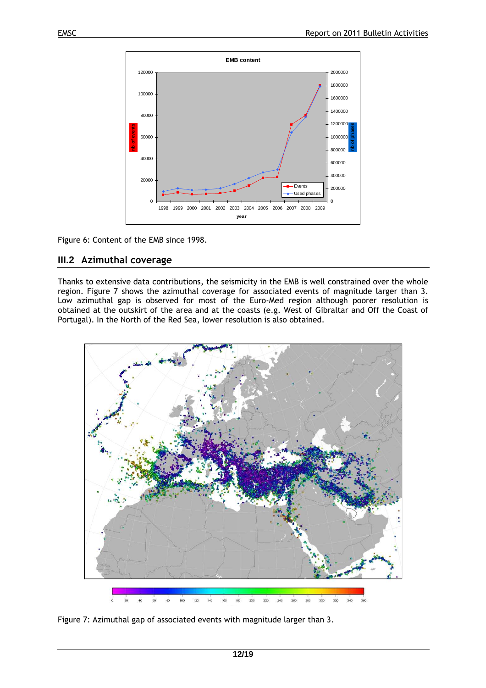

Figure 6: Content of the EMB since 1998.

#### **III.2 Azimuthal coverage**

Thanks to extensive data contributions, the seismicity in the EMB is well constrained over the whole region. Figure 7 shows the azimuthal coverage for associated events of magnitude larger than 3. Low azimuthal gap is observed for most of the Euro-Med region although poorer resolution is obtained at the outskirt of the area and at the coasts (e.g. West of Gibraltar and Off the Coast of Portugal). In the North of the Red Sea, lower resolution is also obtained.



Figure 7: Azimuthal gap of associated events with magnitude larger than 3.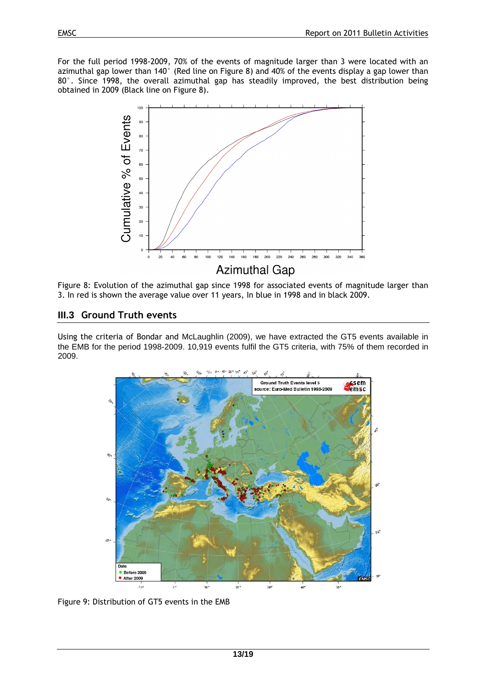For the full period 1998-2009, 70% of the events of magnitude larger than 3 were located with an azimuthal gap lower than 140° (Red line on Figure 8) and 40% of the events display a gap lower than 80°. Since 1998, the overall azimuthal gap has steadily improved, the best distribution being obtained in 2009 (Black line on Figure 8).



Figure 8: Evolution of the azimuthal gap since 1998 for associated events of magnitude larger than 3. In red is shown the average value over 11 years, In blue in 1998 and in black 2009.

## **III.3 Ground Truth events**

Using the criteria of Bondar and McLaughlin (2009), we have extracted the GT5 events available in the EMB for the period 1998-2009. 10,919 events fulfil the GT5 criteria, with 75% of them recorded in 2009.



Figure 9: Distribution of GT5 events in the EMB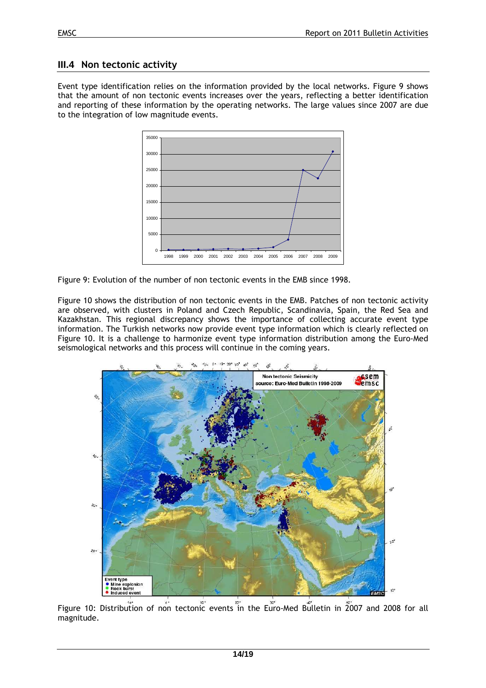## **III.4 Non tectonic activity**

Event type identification relies on the information provided by the local networks. Figure 9 shows that the amount of non tectonic events increases over the years, reflecting a better identification and reporting of these information by the operating networks. The large values since 2007 are due to the integration of low magnitude events.



Figure 9: Evolution of the number of non tectonic events in the EMB since 1998.

Figure 10 shows the distribution of non tectonic events in the EMB. Patches of non tectonic activity are observed, with clusters in Poland and Czech Republic, Scandinavia, Spain, the Red Sea and Kazakhstan. This regional discrepancy shows the importance of collecting accurate event type information. The Turkish networks now provide event type information which is clearly reflected on Figure 10. It is a challenge to harmonize event type information distribution among the Euro-Med seismological networks and this process will continue in the coming years.



Figure 10: Distribution of non tectonic events in the Euro-Med Bulletin in 2007 and 2008 for all magnitude.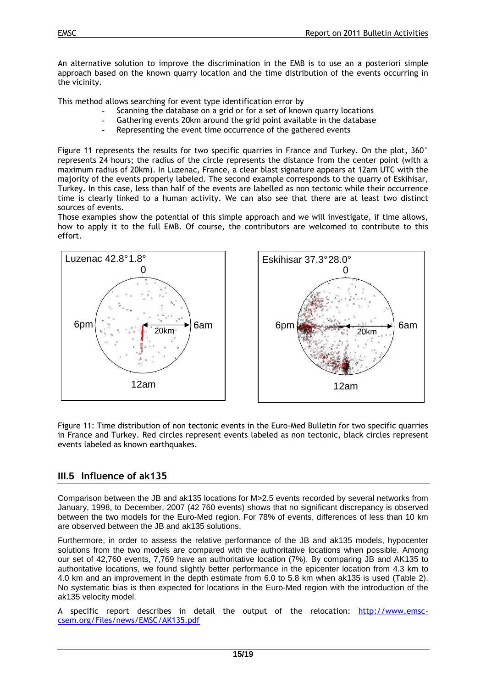An alternative solution to improve the discrimination in the EMB is to use an a posteriori simple approach based on the known quarry location and the time distribution of the events occurring in the vicinity.

This method allows searching for event type identification error by

- Scanning the database on a grid or for a set of known quarry locations
- Gathering events 20km around the grid point available in the database
- Representing the event time occurrence of the gathered events

Figure 11 represents the results for two specific quarries in France and Turkey. On the plot, 360° represents 24 hours; the radius of the circle represents the distance from the center point (with a maximum radius of 20km). In Luzenac, France, a clear blast signature appears at 12am UTC with the majority of the events properly labeled. The second example corresponds to the quarry of Eskihisar, Turkey. In this case, less than half of the events are labelled as non tectonic while their occurrence time is clearly linked to a human activity. We can also see that there are at least two distinct sources of events.

Those examples show the potential of this simple approach and we will investigate, if time allows, how to apply it to the full EMB. Of course, the contributors are welcomed to contribute to this effort.





Figure 11: Time distribution of non tectonic events in the Euro-Med Bulletin for two specific quarries in France and Turkey. Red circles represent events labeled as non tectonic, black circles represent events labeled as known earthquakes.

#### **III.5 Influence of ak135**

Comparison between the JB and ak135 locations for M>2.5 events recorded by several networks from January, 1998, to December, 2007 (42 760 events) shows that no significant discrepancy is observed between the two models for the Euro-Med region. For 78% of events, differences of less than 10 km are observed between the JB and ak135 solutions.

Furthermore, in order to assess the relative performance of the JB and ak135 models, hypocenter solutions from the two models are compared with the authoritative locations when possible. Among our set of 42,760 events, 7,769 have an authoritative location (7%). By comparing JB and AK135 to authoritative locations, we found slightly better performance in the epicenter location from 4.3 km to 4.0 km and an improvement in the depth estimate from 6.0 to 5.8 km when ak135 is used (Table 2). No systematic bias is then expected for locations in the Euro-Med region with the introduction of the ak135 velocity model.

A specific report describes in detail the output of the relocation: http://www.emsccsem.org/Files/news/EMSC/AK135.pdf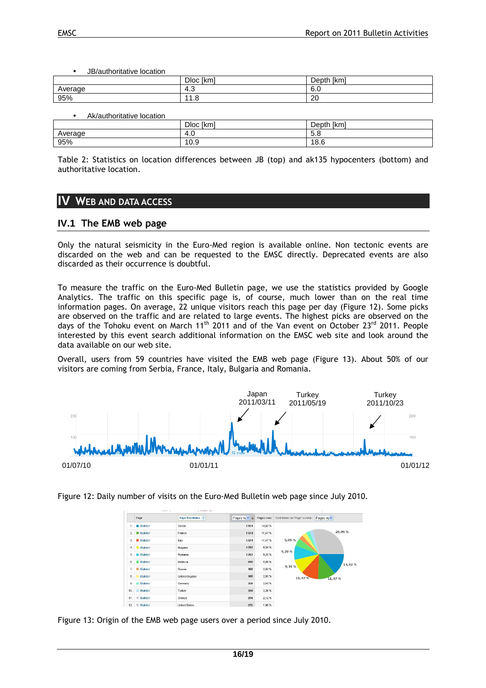• JB/authoritative location

|              | ∩ור<br>l.m<br>'NH.<br>◡ | $\sim$<br>1cm<br>INIL<br>レセレ |
|--------------|-------------------------|------------------------------|
| rage:<br>₹ve | د.4                     | $\sim$<br>а<br>v.v           |
| 95%          | $\Omega$<br>44<br>ن. ا  | 20                           |

• Ak/authoritative location

|         | $-1$<br><b>Dloc</b><br>[km] | Depth [km]                            |
|---------|-----------------------------|---------------------------------------|
| Average | -<br>4.U                    | -<br>$\overline{\phantom{a}}$<br>.ა.ა |
| 95%     | 10.9                        | 18.⊾                                  |

Table 2: Statistics on location differences between JB (top) and ak135 hypocenters (bottom) and authoritative location.

# **IV WEB AND DATA ACCESS**

## **IV.1 The EMB web page**

Only the natural seismicity in the Euro-Med region is available online. Non tectonic events are discarded on the web and can be requested to the EMSC directly. Deprecated events are also discarded as their occurrence is doubtful.

To measure the traffic on the Euro-Med Bulletin page, we use the statistics provided by Google Analytics. The traffic on this specific page is, of course, much lower than on the real time information pages. On average, 22 unique visitors reach this page per day (Figure 12). Some picks are observed on the traffic and are related to large events. The highest picks are observed on the days of the Tohoku event on March  $11<sup>th</sup>$  2011 and of the Van event on October 23<sup>rd</sup> 2011. People interested by this event search additional information on the EMSC web site and look around the data available on our web site.

Overall, users from 59 countries have visited the EMB web page (Figure 13). About 50% of our visitors are coming from Serbia, France, Italy, Bulgaria and Romania.



Figure 12: Daily number of visits on the Euro-Med Bulletin web page since July 2010.

|                 | Page                | Pays/Territoire %    | Pages vu v + | Pages vues | Contribution de "Page" au total : Pages vu |         |
|-----------------|---------------------|----------------------|--------------|------------|--------------------------------------------|---------|
| 1.              | El /Bulletin/       | Serbia               | 1924         | 14,02%     |                                            |         |
| 2.5             | 图 /Bulletin/        | France               | 1574         | 11,47%     |                                            | 29,09 % |
| 3.              | <b>图 /Bulletin/</b> | taly                 | 1574         | 11,47%     | 5,09%                                      |         |
| 4.              | <b>Bulletin/</b>    | <b>Bulgaria</b>      | 1282         | 9,34 %     | 9,20%                                      |         |
| 5.              | <b>Bulletin/</b>    | Romania              | 1263         | 9,20%      |                                            |         |
| 6.              | Bulletin/           | Moldova              | 699          | 5,09%      |                                            | 14,02%  |
| 7.              | <b>Bulletin/</b>    | Russia               | 388          | 2,83%      | 9,34%                                      |         |
| 8.              | /Bulletin/          | United Kingdom       | 388          | 2,83%      | 11, 47 %                                   | 11,47%  |
| 9.              | <b>Bulletin/</b>    | Germany              | 330          | 2,40%      |                                            |         |
| 10 <sub>1</sub> | /Builetin/          | Turkey               | 310          | 2,26 %     |                                            |         |
| 11.             | /Bulletin/<br>ш     | Greece               | 291          | 2,12%      |                                            |         |
| 12.             | <b>Buletin/</b>     | <b>United States</b> | 272          | 1,98%      |                                            |         |

Figure 13: Origin of the EMB web page users over a period since July 2010.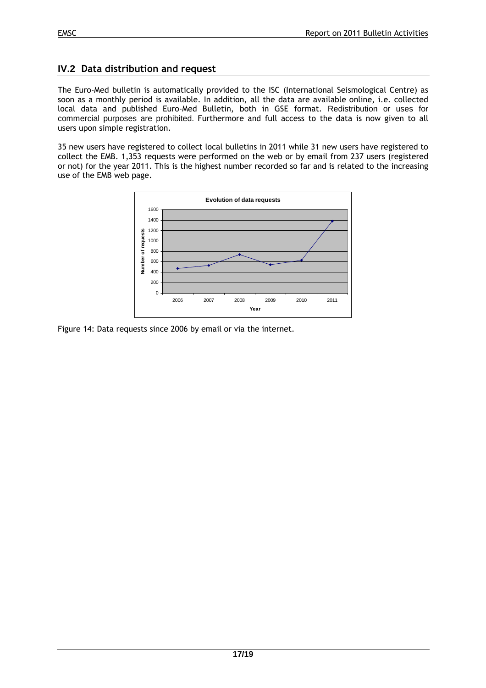# **IV.2 Data distribution and request**

The Euro-Med bulletin is automatically provided to the ISC (International Seismological Centre) as soon as a monthly period is available. In addition, all the data are available online, i.e. collected local data and published Euro-Med Bulletin, both in GSE format. Redistribution or uses for commercial purposes are prohibited. Furthermore and full access to the data is now given to all users upon simple registration.

35 new users have registered to collect local bulletins in 2011 while 31 new users have registered to collect the EMB. 1,353 requests were performed on the web or by email from 237 users (registered or not) for the year 2011. This is the highest number recorded so far and is related to the increasing use of the EMB web page.



Figure 14: Data requests since 2006 by email or via the internet.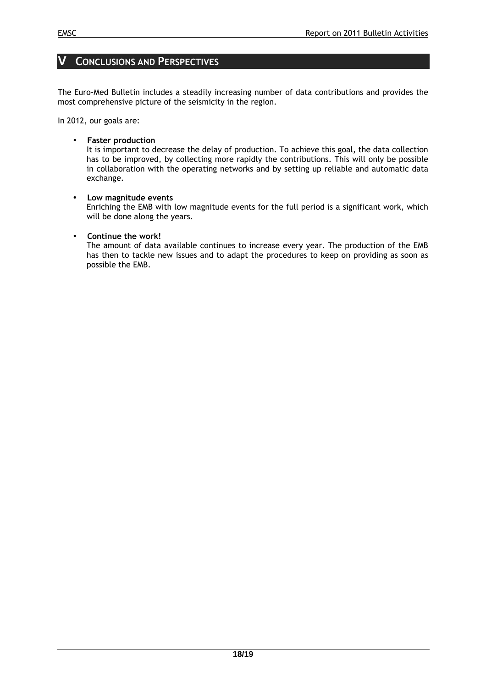## **V CONCLUSIONS AND PERSPECTIVES**

The Euro-Med Bulletin includes a steadily increasing number of data contributions and provides the most comprehensive picture of the seismicity in the region.

In 2012, our goals are:

#### • **Faster production**

It is important to decrease the delay of production. To achieve this goal, the data collection has to be improved, by collecting more rapidly the contributions. This will only be possible in collaboration with the operating networks and by setting up reliable and automatic data exchange.

#### • **Low magnitude events**

Enriching the EMB with low magnitude events for the full period is a significant work, which will be done along the years.

#### • **Continue the work!**

The amount of data available continues to increase every year. The production of the EMB has then to tackle new issues and to adapt the procedures to keep on providing as soon as possible the EMB.